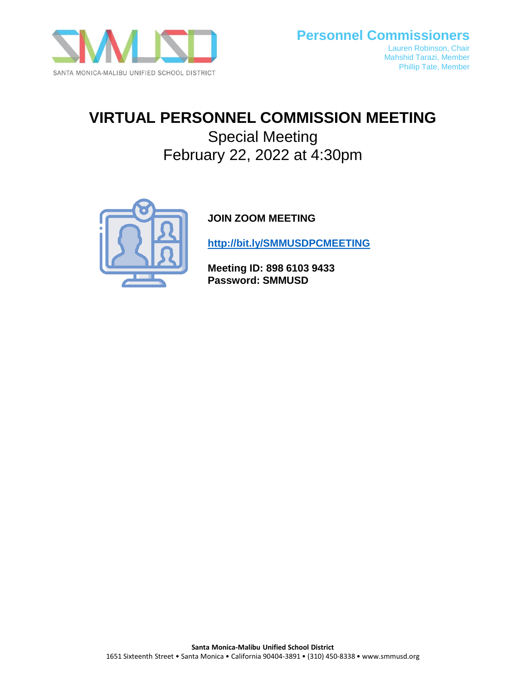

# **VIRTUAL PERSONNEL COMMISSION MEETING**

Special Meeting February 22, 2022 at 4:30pm



# **JOIN ZOOM MEETING**

**<http://bit.ly/SMMUSDPCMEETING>**

**Meeting ID: 898 6103 9433 Password: SMMUSD**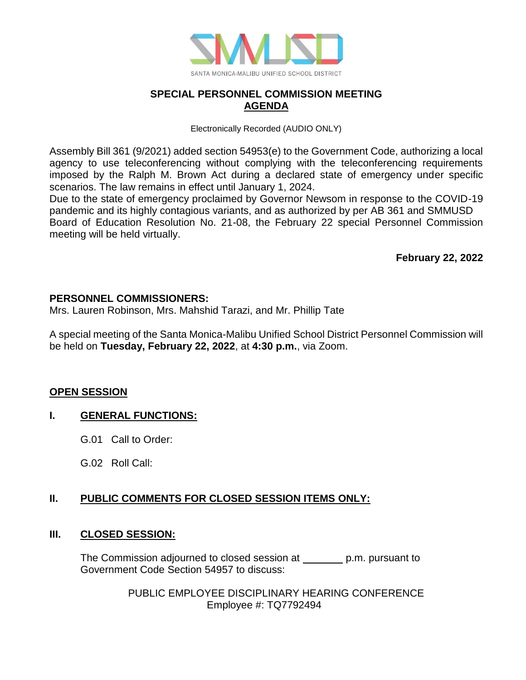

## **SPECIAL PERSONNEL COMMISSION MEETING AGENDA**

Electronically Recorded (AUDIO ONLY)

Assembly Bill 361 (9/2021) added section 54953(e) to the Government Code, authorizing a local agency to use teleconferencing without complying with the teleconferencing requirements imposed by the Ralph M. Brown Act during a declared state of emergency under specific scenarios. The law remains in effect until January 1, 2024.

Due to the state of emergency proclaimed by Governor Newsom in response to the COVID-19 pandemic and its highly contagious variants, and as authorized by per AB 361 and SMMUSD Board of Education Resolution No. 21-08, the February 22 special Personnel Commission meeting will be held virtually.

**February 22, 2022**

#### **PERSONNEL COMMISSIONERS:**

Mrs. Lauren Robinson, Mrs. Mahshid Tarazi, and Mr. Phillip Tate

A special meeting of the Santa Monica-Malibu Unified School District Personnel Commission will be held on **Tuesday, February 22, 2022**, at **4:30 p.m.**, via Zoom.

#### **OPEN SESSION**

## **I. GENERAL FUNCTIONS:**

- G.01 Call to Order:
- G.02 Roll Call:

# **II. PUBLIC COMMENTS FOR CLOSED SESSION ITEMS ONLY:**

#### **III. CLOSED SESSION:**

The Commission adjourned to closed session at p.m. pursuant to Government Code Section 54957 to discuss:

> PUBLIC EMPLOYEE DISCIPLINARY HEARING CONFERENCE Employee #: TQ7792494